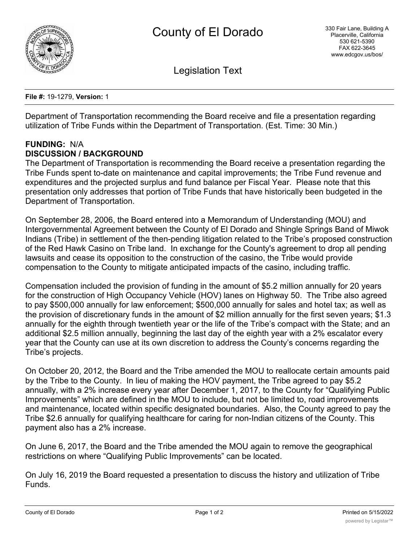

Legislation Text

**File #:** 19-1279, **Version:** 1

Department of Transportation recommending the Board receive and file a presentation regarding utilization of Tribe Funds within the Department of Transportation. (Est. Time: 30 Min.)

#### **FUNDING:** N/A **DISCUSSION / BACKGROUND**

The Department of Transportation is recommending the Board receive a presentation regarding the Tribe Funds spent to-date on maintenance and capital improvements; the Tribe Fund revenue and expenditures and the projected surplus and fund balance per Fiscal Year. Please note that this presentation only addresses that portion of Tribe Funds that have historically been budgeted in the Department of Transportation.

On September 28, 2006, the Board entered into a Memorandum of Understanding (MOU) and Intergovernmental Agreement between the County of El Dorado and Shingle Springs Band of Miwok Indians (Tribe) in settlement of the then-pending litigation related to the Tribe's proposed construction of the Red Hawk Casino on Tribe land. In exchange for the County's agreement to drop all pending lawsuits and cease its opposition to the construction of the casino, the Tribe would provide compensation to the County to mitigate anticipated impacts of the casino, including traffic.

Compensation included the provision of funding in the amount of \$5.2 million annually for 20 years for the construction of High Occupancy Vehicle (HOV) lanes on Highway 50. The Tribe also agreed to pay \$500,000 annually for law enforcement; \$500,000 annually for sales and hotel tax; as well as the provision of discretionary funds in the amount of \$2 million annually for the first seven years; \$1.3 annually for the eighth through twentieth year or the life of the Tribe's compact with the State; and an additional \$2.5 million annually, beginning the last day of the eighth year with a 2% escalator every year that the County can use at its own discretion to address the County's concerns regarding the Tribe's projects.

On October 20, 2012, the Board and the Tribe amended the MOU to reallocate certain amounts paid by the Tribe to the County. In lieu of making the HOV payment, the Tribe agreed to pay \$5.2 annually, with a 2% increase every year after December 1, 2017, to the County for "Qualifying Public Improvements" which are defined in the MOU to include, but not be limited to, road improvements and maintenance, located within specific designated boundaries. Also, the County agreed to pay the Tribe \$2.6 annually for qualifying healthcare for caring for non-Indian citizens of the County. This payment also has a 2% increase.

On June 6, 2017, the Board and the Tribe amended the MOU again to remove the geographical restrictions on where "Qualifying Public Improvements" can be located.

On July 16, 2019 the Board requested a presentation to discuss the history and utilization of Tribe Funds.